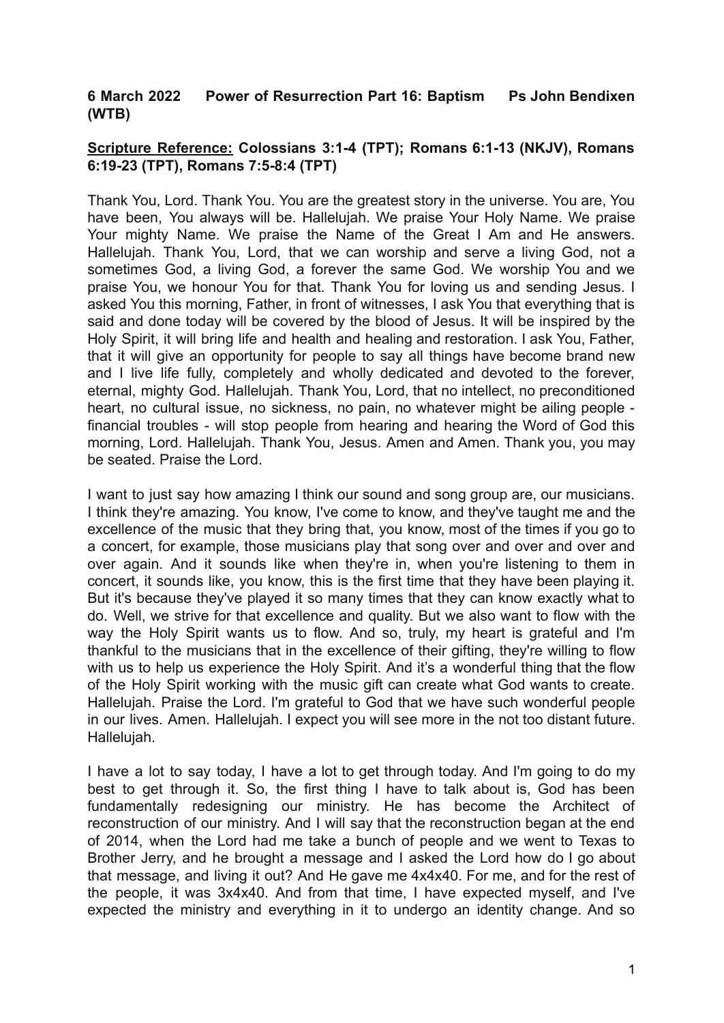## **6 March 2022 Power of Resurrection Part 16: Baptism Ps John Bendixen (WTB)**

## **Scripture Reference: Colossians 3:1-4 (TPT); Romans 6:1-13 (NKJV), Romans 6:19-23 (TPT), Romans 7:5-8:4 (TPT)**

Thank You, Lord. Thank You. You are the greatest story in the universe. You are, You have been, You always will be. Hallelujah. We praise Your Holy Name. We praise Your mighty Name. We praise the Name of the Great I Am and He answers. Hallelujah. Thank You, Lord, that we can worship and serve a living God, not a sometimes God, a living God, a forever the same God. We worship You and we praise You, we honour You for that. Thank You for loving us and sending Jesus. I asked You this morning, Father, in front of witnesses, I ask You that everything that is said and done today will be covered by the blood of Jesus. It will be inspired by the Holy Spirit, it will bring life and health and healing and restoration. I ask You, Father, that it will give an opportunity for people to say all things have become brand new and I live life fully, completely and wholly dedicated and devoted to the forever, eternal, mighty God. Hallelujah. Thank You, Lord, that no intellect, no preconditioned heart, no cultural issue, no sickness, no pain, no whatever might be ailing people financial troubles - will stop people from hearing and hearing the Word of God this morning, Lord. Hallelujah. Thank You, Jesus. Amen and Amen. Thank you, you may be seated. Praise the Lord.

I want to just say how amazing I think our sound and song group are, our musicians. I think they're amazing. You know, I've come to know, and they've taught me and the excellence of the music that they bring that, you know, most of the times if you go to a concert, for example, those musicians play that song over and over and over and over again. And it sounds like when they're in, when you're listening to them in concert, it sounds like, you know, this is the first time that they have been playing it. But it's because they've played it so many times that they can know exactly what to do. Well, we strive for that excellence and quality. But we also want to flow with the way the Holy Spirit wants us to flow. And so, truly, my heart is grateful and I'm thankful to the musicians that in the excellence of their gifting, they're willing to flow with us to help us experience the Holy Spirit. And it's a wonderful thing that the flow of the Holy Spirit working with the music gift can create what God wants to create. Hallelujah. Praise the Lord. I'm grateful to God that we have such wonderful people in our lives. Amen. Hallelujah. I expect you will see more in the not too distant future. Hallelujah.

I have a lot to say today, I have a lot to get through today. And I'm going to do my best to get through it. So, the first thing I have to talk about is, God has been fundamentally redesigning our ministry. He has become the Architect of reconstruction of our ministry. And I will say that the reconstruction began at the end of 2014, when the Lord had me take a bunch of people and we went to Texas to Brother Jerry, and he brought a message and I asked the Lord how do I go about that message, and living it out? And He gave me 4x4x40. For me, and for the rest of the people, it was 3x4x40. And from that time, I have expected myself, and I've expected the ministry and everything in it to undergo an identity change. And so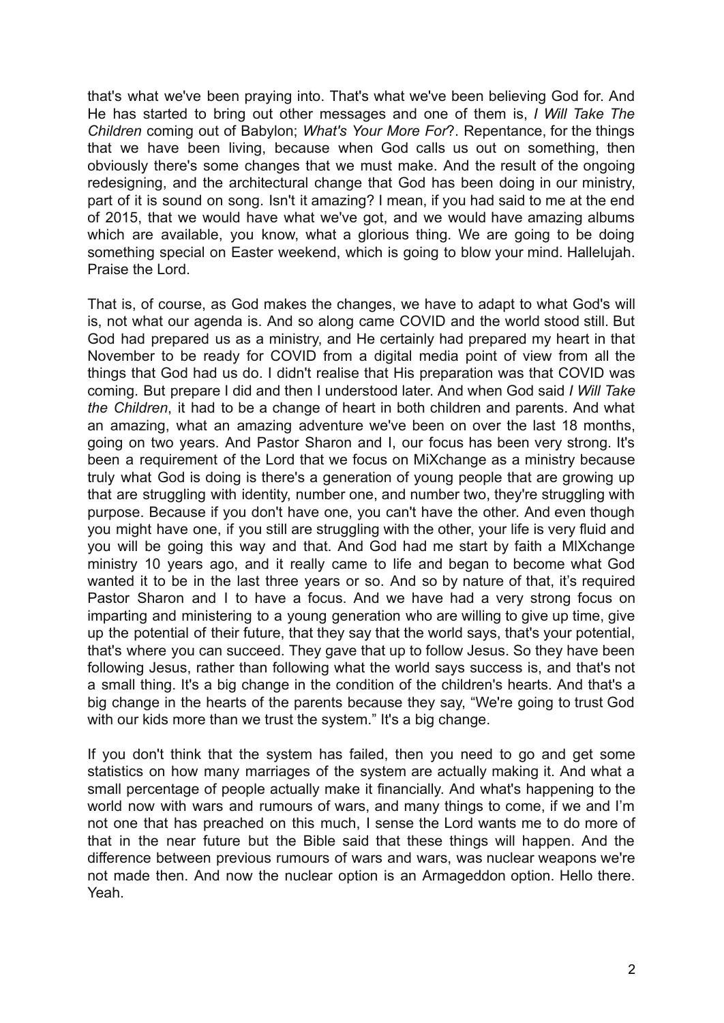that's what we've been praying into. That's what we've been believing God for. And He has started to bring out other messages and one of them is, *I Will Take The Children* coming out of Babylon; *What's Your More For*?. Repentance, for the things that we have been living, because when God calls us out on something, then obviously there's some changes that we must make. And the result of the ongoing redesigning, and the architectural change that God has been doing in our ministry, part of it is sound on song. Isn't it amazing? I mean, if you had said to me at the end of 2015, that we would have what we've got, and we would have amazing albums which are available, you know, what a glorious thing. We are going to be doing something special on Easter weekend, which is going to blow your mind. Hallelujah. Praise the Lord.

That is, of course, as God makes the changes, we have to adapt to what God's will is, not what our agenda is. And so along came COVID and the world stood still. But God had prepared us as a ministry, and He certainly had prepared my heart in that November to be ready for COVID from a digital media point of view from all the things that God had us do. I didn't realise that His preparation was that COVID was coming. But prepare I did and then I understood later. And when God said *I Will Take the Children*, it had to be a change of heart in both children and parents. And what an amazing, what an amazing adventure we've been on over the last 18 months, going on two years. And Pastor Sharon and I, our focus has been very strong. It's been a requirement of the Lord that we focus on MiXchange as a ministry because truly what God is doing is there's a generation of young people that are growing up that are struggling with identity, number one, and number two, they're struggling with purpose. Because if you don't have one, you can't have the other. And even though you might have one, if you still are struggling with the other, your life is very fluid and you will be going this way and that. And God had me start by faith a MlXchange ministry 10 years ago, and it really came to life and began to become what God wanted it to be in the last three years or so. And so by nature of that, it's required Pastor Sharon and I to have a focus. And we have had a very strong focus on imparting and ministering to a young generation who are willing to give up time, give up the potential of their future, that they say that the world says, that's your potential, that's where you can succeed. They gave that up to follow Jesus. So they have been following Jesus, rather than following what the world says success is, and that's not a small thing. It's a big change in the condition of the children's hearts. And that's a big change in the hearts of the parents because they say, "We're going to trust God with our kids more than we trust the system." It's a big change.

If you don't think that the system has failed, then you need to go and get some statistics on how many marriages of the system are actually making it. And what a small percentage of people actually make it financially. And what's happening to the world now with wars and rumours of wars, and many things to come, if we and I'm not one that has preached on this much, I sense the Lord wants me to do more of that in the near future but the Bible said that these things will happen. And the difference between previous rumours of wars and wars, was nuclear weapons we're not made then. And now the nuclear option is an Armageddon option. Hello there. Yeah.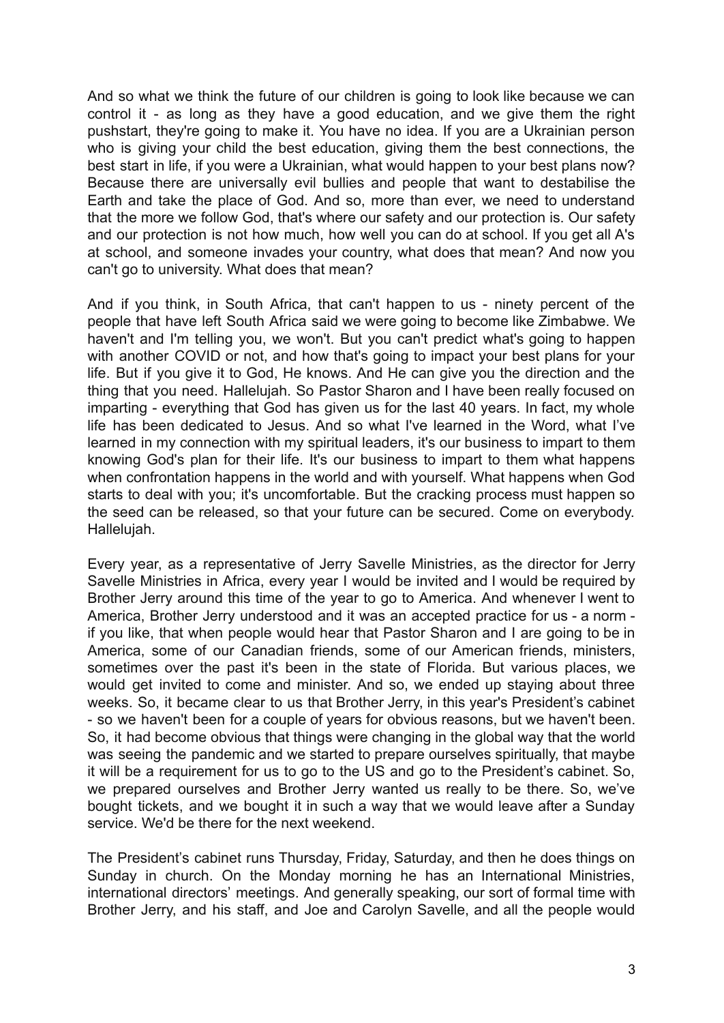And so what we think the future of our children is going to look like because we can control it - as long as they have a good education, and we give them the right pushstart, they're going to make it. You have no idea. If you are a Ukrainian person who is giving your child the best education, giving them the best connections, the best start in life, if you were a Ukrainian, what would happen to your best plans now? Because there are universally evil bullies and people that want to destabilise the Earth and take the place of God. And so, more than ever, we need to understand that the more we follow God, that's where our safety and our protection is. Our safety and our protection is not how much, how well you can do at school. If you get all A's at school, and someone invades your country, what does that mean? And now you can't go to university. What does that mean?

And if you think, in South Africa, that can't happen to us - ninety percent of the people that have left South Africa said we were going to become like Zimbabwe. We haven't and I'm telling you, we won't. But you can't predict what's going to happen with another COVID or not, and how that's going to impact your best plans for your life. But if you give it to God, He knows. And He can give you the direction and the thing that you need. Hallelujah. So Pastor Sharon and I have been really focused on imparting - everything that God has given us for the last 40 years. In fact, my whole life has been dedicated to Jesus. And so what I've learned in the Word, what I've learned in my connection with my spiritual leaders, it's our business to impart to them knowing God's plan for their life. It's our business to impart to them what happens when confrontation happens in the world and with yourself. What happens when God starts to deal with you; it's uncomfortable. But the cracking process must happen so the seed can be released, so that your future can be secured. Come on everybody. Hallelujah.

Every year, as a representative of Jerry Savelle Ministries, as the director for Jerry Savelle Ministries in Africa, every year I would be invited and I would be required by Brother Jerry around this time of the year to go to America. And whenever I went to America, Brother Jerry understood and it was an accepted practice for us - a norm if you like, that when people would hear that Pastor Sharon and I are going to be in America, some of our Canadian friends, some of our American friends, ministers, sometimes over the past it's been in the state of Florida. But various places, we would get invited to come and minister. And so, we ended up staying about three weeks. So, it became clear to us that Brother Jerry, in this year's President's cabinet - so we haven't been for a couple of years for obvious reasons, but we haven't been. So, it had become obvious that things were changing in the global way that the world was seeing the pandemic and we started to prepare ourselves spiritually, that maybe it will be a requirement for us to go to the US and go to the President's cabinet. So, we prepared ourselves and Brother Jerry wanted us really to be there. So, we've bought tickets, and we bought it in such a way that we would leave after a Sunday service. We'd be there for the next weekend.

The President's cabinet runs Thursday, Friday, Saturday, and then he does things on Sunday in church. On the Monday morning he has an International Ministries, international directors' meetings. And generally speaking, our sort of formal time with Brother Jerry, and his staff, and Joe and Carolyn Savelle, and all the people would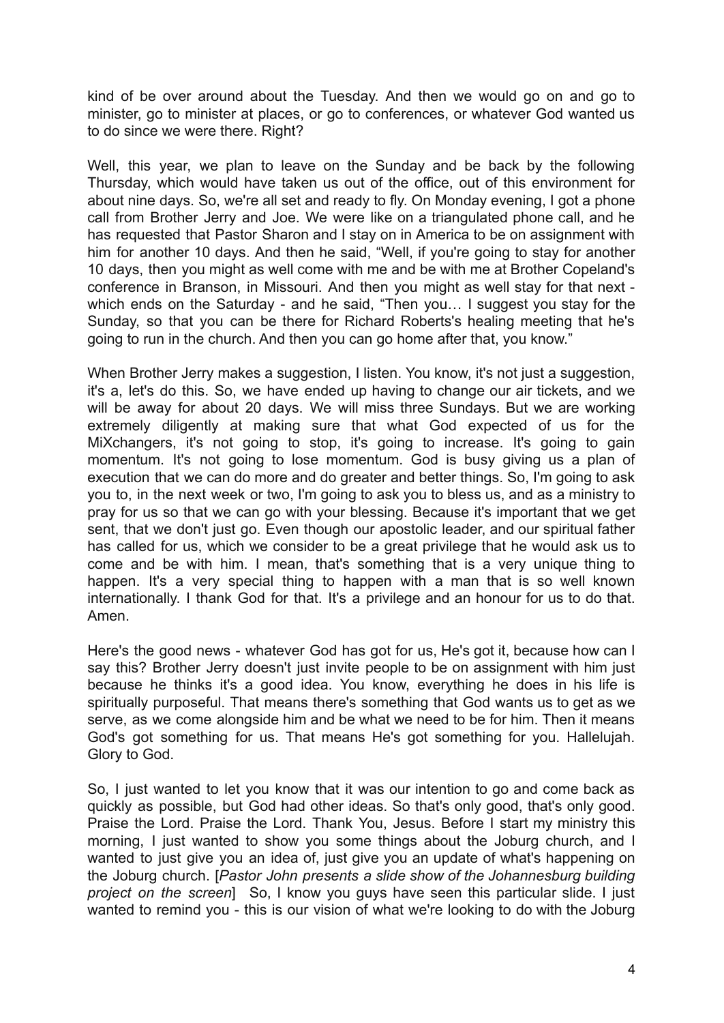kind of be over around about the Tuesday. And then we would go on and go to minister, go to minister at places, or go to conferences, or whatever God wanted us to do since we were there. Right?

Well, this year, we plan to leave on the Sunday and be back by the following Thursday, which would have taken us out of the office, out of this environment for about nine days. So, we're all set and ready to fly. On Monday evening, I got a phone call from Brother Jerry and Joe. We were like on a triangulated phone call, and he has requested that Pastor Sharon and I stay on in America to be on assignment with him for another 10 days. And then he said, "Well, if you're going to stay for another 10 days, then you might as well come with me and be with me at Brother Copeland's conference in Branson, in Missouri. And then you might as well stay for that next which ends on the Saturday - and he said, "Then you… I suggest you stay for the Sunday, so that you can be there for Richard Roberts's healing meeting that he's going to run in the church. And then you can go home after that, you know."

When Brother Jerry makes a suggestion, I listen. You know, it's not just a suggestion, it's a, let's do this. So, we have ended up having to change our air tickets, and we will be away for about 20 days. We will miss three Sundays. But we are working extremely diligently at making sure that what God expected of us for the MiXchangers, it's not going to stop, it's going to increase. It's going to gain momentum. It's not going to lose momentum. God is busy giving us a plan of execution that we can do more and do greater and better things. So, I'm going to ask you to, in the next week or two, I'm going to ask you to bless us, and as a ministry to pray for us so that we can go with your blessing. Because it's important that we get sent, that we don't just go. Even though our apostolic leader, and our spiritual father has called for us, which we consider to be a great privilege that he would ask us to come and be with him. I mean, that's something that is a very unique thing to happen. It's a very special thing to happen with a man that is so well known internationally. I thank God for that. It's a privilege and an honour for us to do that. Amen.

Here's the good news - whatever God has got for us, He's got it, because how can I say this? Brother Jerry doesn't just invite people to be on assignment with him just because he thinks it's a good idea. You know, everything he does in his life is spiritually purposeful. That means there's something that God wants us to get as we serve, as we come alongside him and be what we need to be for him. Then it means God's got something for us. That means He's got something for you. Hallelujah. Glory to God.

So, I just wanted to let you know that it was our intention to go and come back as quickly as possible, but God had other ideas. So that's only good, that's only good. Praise the Lord. Praise the Lord. Thank You, Jesus. Before I start my ministry this morning, I just wanted to show you some things about the Joburg church, and I wanted to just give you an idea of, just give you an update of what's happening on the Joburg church. [*Pastor John presents a slide show of the Johannesburg building project on the screen*] So, I know you guys have seen this particular slide. I just wanted to remind you - this is our vision of what we're looking to do with the Joburg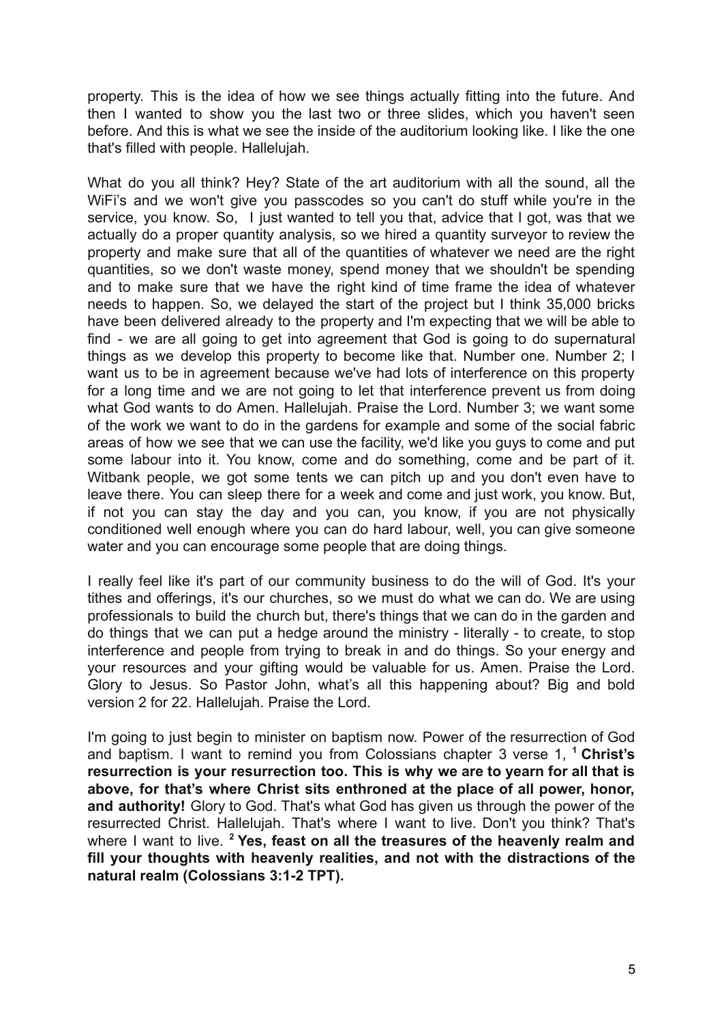property. This is the idea of how we see things actually fitting into the future. And then I wanted to show you the last two or three slides, which you haven't seen before. And this is what we see the inside of the auditorium looking like. I like the one that's filled with people. Hallelujah.

What do you all think? Hey? State of the art auditorium with all the sound, all the WiFi's and we won't give you passcodes so you can't do stuff while you're in the service, you know. So, I just wanted to tell you that, advice that I got, was that we actually do a proper quantity analysis, so we hired a quantity surveyor to review the property and make sure that all of the quantities of whatever we need are the right quantities, so we don't waste money, spend money that we shouldn't be spending and to make sure that we have the right kind of time frame the idea of whatever needs to happen. So, we delayed the start of the project but I think 35,000 bricks have been delivered already to the property and I'm expecting that we will be able to find - we are all going to get into agreement that God is going to do supernatural things as we develop this property to become like that. Number one. Number 2; I want us to be in agreement because we've had lots of interference on this property for a long time and we are not going to let that interference prevent us from doing what God wants to do Amen. Hallelujah. Praise the Lord. Number 3; we want some of the work we want to do in the gardens for example and some of the social fabric areas of how we see that we can use the facility, we'd like you guys to come and put some labour into it. You know, come and do something, come and be part of it. Witbank people, we got some tents we can pitch up and you don't even have to leave there. You can sleep there for a week and come and just work, you know. But, if not you can stay the day and you can, you know, if you are not physically conditioned well enough where you can do hard labour, well, you can give someone water and you can encourage some people that are doing things.

I really feel like it's part of our community business to do the will of God. It's your tithes and offerings, it's our churches, so we must do what we can do. We are using professionals to build the church but, there's things that we can do in the garden and do things that we can put a hedge around the ministry - literally - to create, to stop interference and people from trying to break in and do things. So your energy and your resources and your gifting would be valuable for us. Amen. Praise the Lord. Glory to Jesus. So Pastor John, what's all this happening about? Big and bold version 2 for 22. Hallelujah. Praise the Lord.

I'm going to just begin to minister on baptism now. Power of the resurrection of God and baptism. I want to remind you from Colossians chapter 3 verse 1, **<sup>1</sup> Christ's resurrection is your resurrection too. This is why we are to yearn for all that is above, for that's where Christ sits enthroned at the place of all power, honor, and authority!** Glory to God. That's what God has given us through the power of the resurrected Christ. Hallelujah. That's where I want to live. Don't you think? That's where I want to live. **<sup>2</sup> Yes, feast on all the treasures of the heavenly realm and fill your thoughts with heavenly realities, and not with the distractions of the natural realm (Colossians 3:1-2 TPT).**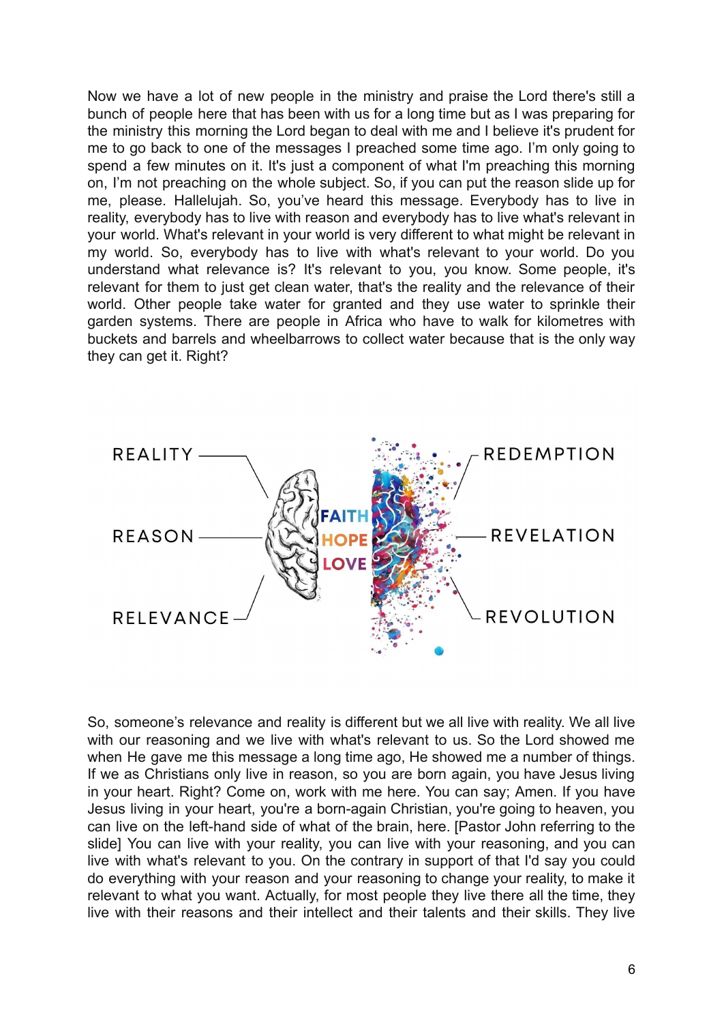Now we have a lot of new people in the ministry and praise the Lord there's still a bunch of people here that has been with us for a long time but as I was preparing for the ministry this morning the Lord began to deal with me and I believe it's prudent for me to go back to one of the messages I preached some time ago. I'm only going to spend a few minutes on it. It's just a component of what I'm preaching this morning on, I'm not preaching on the whole subject. So, if you can put the reason slide up for me, please. Hallelujah. So, you've heard this message. Everybody has to live in reality, everybody has to live with reason and everybody has to live what's relevant in your world. What's relevant in your world is very different to what might be relevant in my world. So, everybody has to live with what's relevant to your world. Do you understand what relevance is? It's relevant to you, you know. Some people, it's relevant for them to just get clean water, that's the reality and the relevance of their world. Other people take water for granted and they use water to sprinkle their garden systems. There are people in Africa who have to walk for kilometres with buckets and barrels and wheelbarrows to collect water because that is the only way they can get it. Right?



So, someone's relevance and reality is different but we all live with reality. We all live with our reasoning and we live with what's relevant to us. So the Lord showed me when He gave me this message a long time ago, He showed me a number of things. If we as Christians only live in reason, so you are born again, you have Jesus living in your heart. Right? Come on, work with me here. You can say; Amen. If you have Jesus living in your heart, you're a born-again Christian, you're going to heaven, you can live on the left-hand side of what of the brain, here. [Pastor John referring to the slide] You can live with your reality, you can live with your reasoning, and you can live with what's relevant to you. On the contrary in support of that I'd say you could do everything with your reason and your reasoning to change your reality, to make it relevant to what you want. Actually, for most people they live there all the time, they live with their reasons and their intellect and their talents and their skills. They live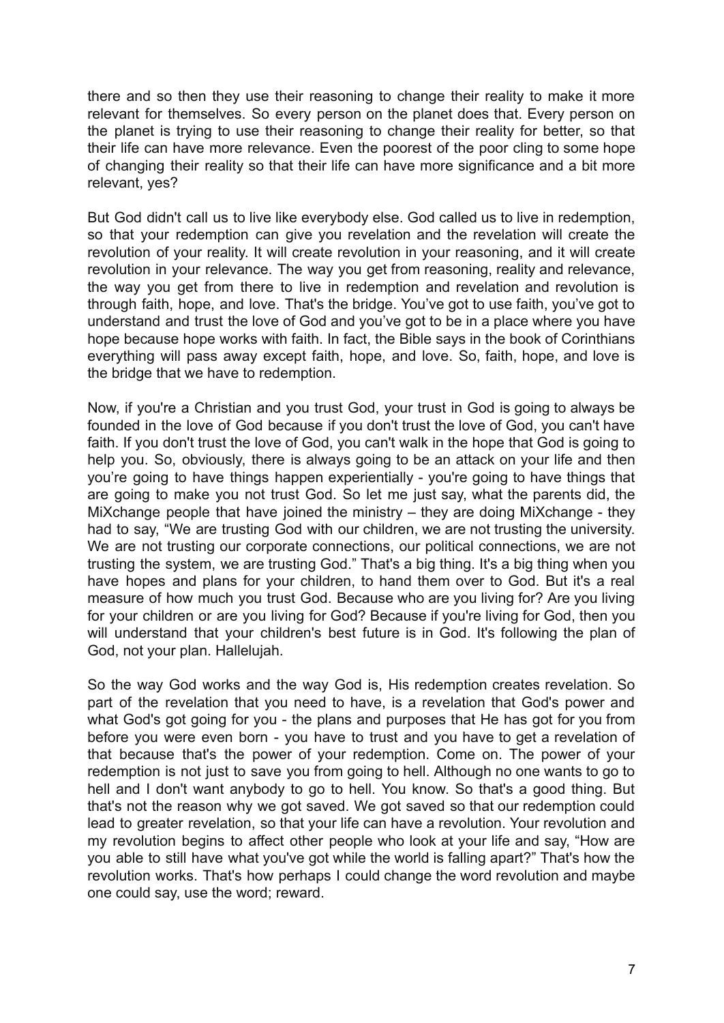there and so then they use their reasoning to change their reality to make it more relevant for themselves. So every person on the planet does that. Every person on the planet is trying to use their reasoning to change their reality for better, so that their life can have more relevance. Even the poorest of the poor cling to some hope of changing their reality so that their life can have more significance and a bit more relevant, yes?

But God didn't call us to live like everybody else. God called us to live in redemption, so that your redemption can give you revelation and the revelation will create the revolution of your reality. It will create revolution in your reasoning, and it will create revolution in your relevance. The way you get from reasoning, reality and relevance, the way you get from there to live in redemption and revelation and revolution is through faith, hope, and love. That's the bridge. You've got to use faith, you've got to understand and trust the love of God and you've got to be in a place where you have hope because hope works with faith. In fact, the Bible says in the book of Corinthians everything will pass away except faith, hope, and love. So, faith, hope, and love is the bridge that we have to redemption.

Now, if you're a Christian and you trust God, your trust in God is going to always be founded in the love of God because if you don't trust the love of God, you can't have faith. If you don't trust the love of God, you can't walk in the hope that God is going to help you. So, obviously, there is always going to be an attack on your life and then you're going to have things happen experientially - you're going to have things that are going to make you not trust God. So let me just say, what the parents did, the MiXchange people that have joined the ministry – they are doing MiXchange - they had to say, "We are trusting God with our children, we are not trusting the university. We are not trusting our corporate connections, our political connections, we are not trusting the system, we are trusting God." That's a big thing. It's a big thing when you have hopes and plans for your children, to hand them over to God. But it's a real measure of how much you trust God. Because who are you living for? Are you living for your children or are you living for God? Because if you're living for God, then you will understand that your children's best future is in God. It's following the plan of God, not your plan. Hallelujah.

So the way God works and the way God is, His redemption creates revelation. So part of the revelation that you need to have, is a revelation that God's power and what God's got going for you - the plans and purposes that He has got for you from before you were even born - you have to trust and you have to get a revelation of that because that's the power of your redemption. Come on. The power of your redemption is not just to save you from going to hell. Although no one wants to go to hell and I don't want anybody to go to hell. You know. So that's a good thing. But that's not the reason why we got saved. We got saved so that our redemption could lead to greater revelation, so that your life can have a revolution. Your revolution and my revolution begins to affect other people who look at your life and say, "How are you able to still have what you've got while the world is falling apart?" That's how the revolution works. That's how perhaps I could change the word revolution and maybe one could say, use the word; reward.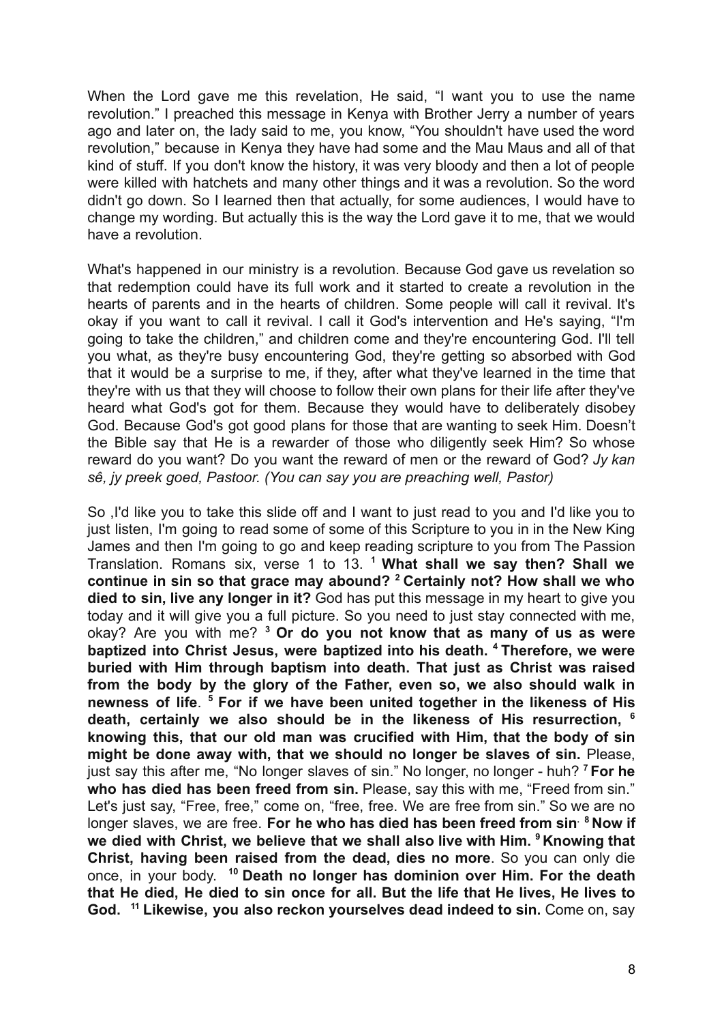When the Lord gave me this revelation, He said, "I want you to use the name revolution." I preached this message in Kenya with Brother Jerry a number of years ago and later on, the lady said to me, you know, "You shouldn't have used the word revolution," because in Kenya they have had some and the Mau Maus and all of that kind of stuff. If you don't know the history, it was very bloody and then a lot of people were killed with hatchets and many other things and it was a revolution. So the word didn't go down. So I learned then that actually, for some audiences, I would have to change my wording. But actually this is the way the Lord gave it to me, that we would have a revolution.

What's happened in our ministry is a revolution. Because God gave us revelation so that redemption could have its full work and it started to create a revolution in the hearts of parents and in the hearts of children. Some people will call it revival. It's okay if you want to call it revival. I call it God's intervention and He's saying, "I'm going to take the children," and children come and they're encountering God. I'll tell you what, as they're busy encountering God, they're getting so absorbed with God that it would be a surprise to me, if they, after what they've learned in the time that they're with us that they will choose to follow their own plans for their life after they've heard what God's got for them. Because they would have to deliberately disobey God. Because God's got good plans for those that are wanting to seek Him. Doesn't the Bible say that He is a rewarder of those who diligently seek Him? So whose reward do you want? Do you want the reward of men or the reward of God? *Jy kan sê, jy preek goed, Pastoor. (You can say you are preaching well, Pastor)*

So ,I'd like you to take this slide off and I want to just read to you and I'd like you to just listen, I'm going to read some of some of this Scripture to you in in the New King James and then I'm going to go and keep reading scripture to you from The Passion Translation. Romans six, verse 1 to 13. **<sup>1</sup> What shall we say then? Shall we continue in sin so that grace may abound? <sup>2</sup> Certainly not? How shall we who died to sin, live any longer in it?** God has put this message in my heart to give you today and it will give you a full picture. So you need to just stay connected with me, okay? Are you with me? **<sup>3</sup> Or do you not know that as many of us as were baptized into Christ Jesus, were baptized into his death. <sup>4</sup> Therefore, we were buried with Him through baptism into death. That just as Christ was raised from the body by the glory of the Father, even so, we also should walk in newness of life**. **<sup>5</sup> For if we have been united together in the likeness of His death, certainly we also should be in the likeness of His resurrection, <sup>6</sup> knowing this, that our old man was crucified with Him, that the body of sin might be done away with, that we should no longer be slaves of sin.** Please, just say this after me, "No longer slaves of sin." No longer, no longer - huh? **<sup>7</sup> For he who has died has been freed from sin.** Please, say this with me, "Freed from sin." Let's just say, "Free, free," come on, "free, free. We are free from sin." So we are no longer slaves, we are free. **For he who has died has been freed from sin. <sup>8</sup> Now if we died with Christ, we believe that we shall also live with Him. <sup>9</sup> Knowing that Christ, having been raised from the dead, dies no more**. So you can only die once, in your body. **<sup>10</sup> Death no longer has dominion over Him. For the death that He died, He died to sin once for all. But the life that He lives, He lives to God. <sup>11</sup> Likewise, you also reckon yourselves dead indeed to sin.** Come on, say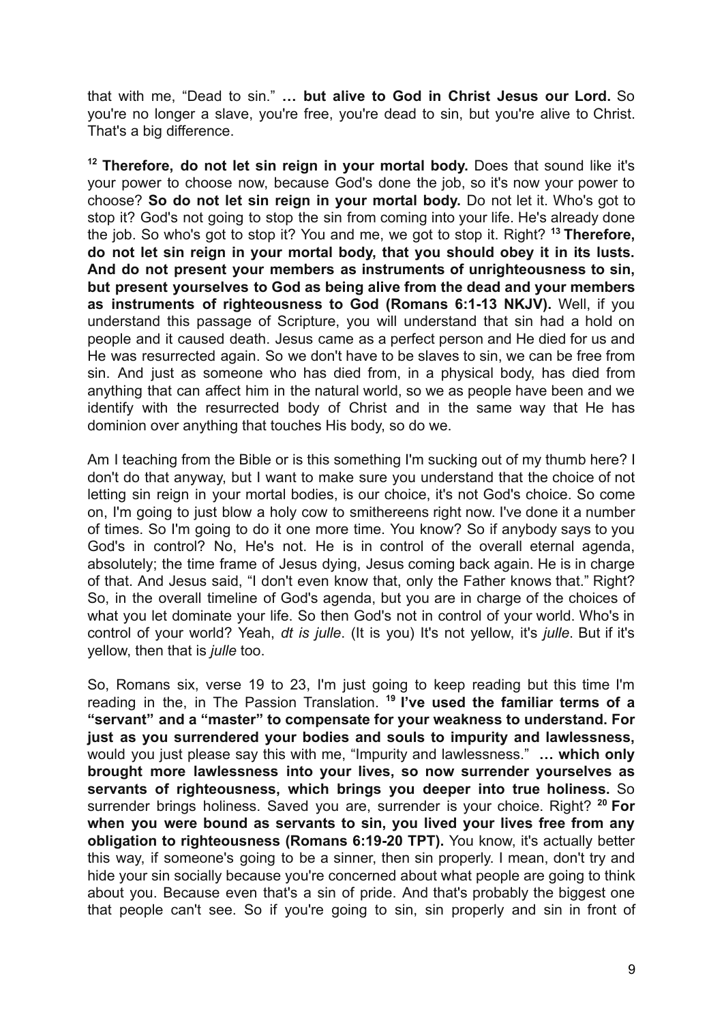that with me, "Dead to sin." **… but alive to God in Christ Jesus our Lord.** So you're no longer a slave, you're free, you're dead to sin, but you're alive to Christ. That's a big difference.

**<sup>12</sup> Therefore, do not let sin reign in your mortal body.** Does that sound like it's your power to choose now, because God's done the job, so it's now your power to choose? **So do not let sin reign in your mortal body.** Do not let it. Who's got to stop it? God's not going to stop the sin from coming into your life. He's already done the job. So who's got to stop it? You and me, we got to stop it. Right? **<sup>13</sup> Therefore, do not let sin reign in your mortal body, that you should obey it in its lusts. And do not present your members as instruments of unrighteousness to sin, but present yourselves to God as being alive from the dead and your members as instruments of righteousness to God (Romans 6:1-13 NKJV).** Well, if you understand this passage of Scripture, you will understand that sin had a hold on people and it caused death. Jesus came as a perfect person and He died for us and He was resurrected again. So we don't have to be slaves to sin, we can be free from sin. And just as someone who has died from, in a physical body, has died from anything that can affect him in the natural world, so we as people have been and we identify with the resurrected body of Christ and in the same way that He has dominion over anything that touches His body, so do we.

Am I teaching from the Bible or is this something I'm sucking out of my thumb here? I don't do that anyway, but I want to make sure you understand that the choice of not letting sin reign in your mortal bodies, is our choice, it's not God's choice. So come on, I'm going to just blow a holy cow to smithereens right now. I've done it a number of times. So I'm going to do it one more time. You know? So if anybody says to you God's in control? No, He's not. He is in control of the overall eternal agenda, absolutely; the time frame of Jesus dying, Jesus coming back again. He is in charge of that. And Jesus said, "I don't even know that, only the Father knows that." Right? So, in the overall timeline of God's agenda, but you are in charge of the choices of what you let dominate your life. So then God's not in control of your world. Who's in control of your world? Yeah, *dt is julle*. (It is you) It's not yellow, it's *julle*. But if it's yellow, then that is *julle* too.

So, Romans six, verse 19 to 23, I'm just going to keep reading but this time I'm reading in the, in The Passion Translation. **<sup>19</sup> I've used the familiar terms of a "servant" and a "master" to compensate for your weakness to understand. For just as you surrendered your bodies and souls to impurity and lawlessness,** would you just please say this with me, "Impurity and lawlessness." **… which only brought more lawlessness into your lives, so now surrender yourselves as servants of righteousness, which brings you deeper into true holiness.** So surrender brings holiness. Saved you are, surrender is your choice. Right? **<sup>20</sup> For when you were bound as servants to sin, you lived your lives free from any obligation to righteousness (Romans 6:19-20 TPT).** You know, it's actually better this way, if someone's going to be a sinner, then sin properly. I mean, don't try and hide your sin socially because you're concerned about what people are going to think about you. Because even that's a sin of pride. And that's probably the biggest one that people can't see. So if you're going to sin, sin properly and sin in front of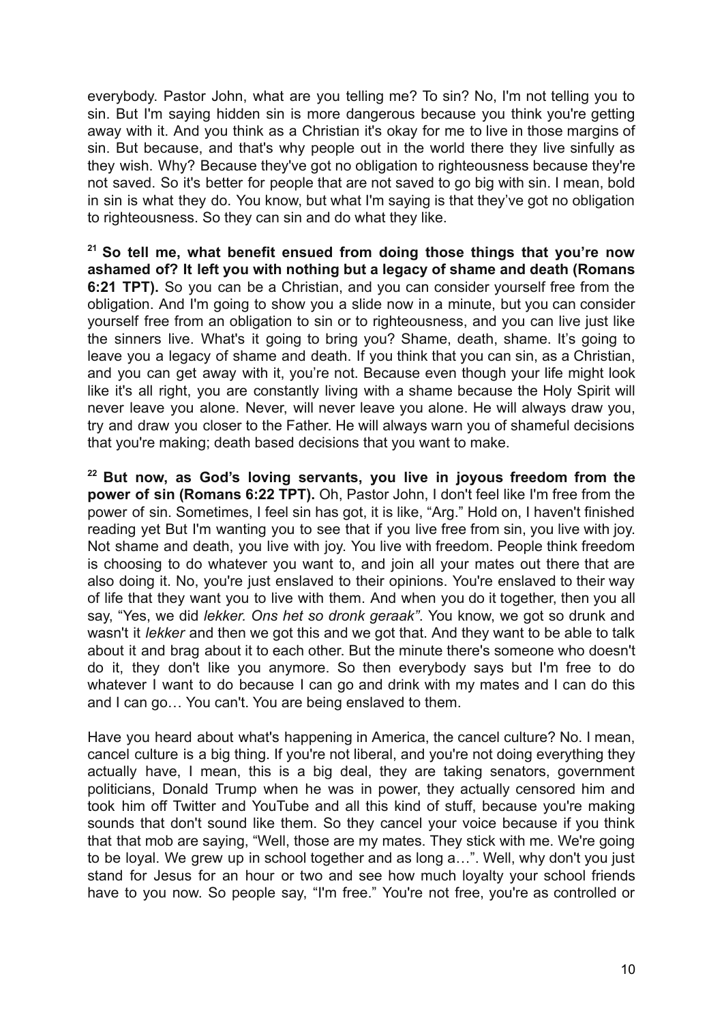everybody. Pastor John, what are you telling me? To sin? No, I'm not telling you to sin. But I'm saying hidden sin is more dangerous because you think you're getting away with it. And you think as a Christian it's okay for me to live in those margins of sin. But because, and that's why people out in the world there they live sinfully as they wish. Why? Because they've got no obligation to righteousness because they're not saved. So it's better for people that are not saved to go big with sin. I mean, bold in sin is what they do. You know, but what I'm saying is that they've got no obligation to righteousness. So they can sin and do what they like.

**<sup>21</sup> So tell me, what benefit ensued from doing those things that you're now ashamed of? It left you with nothing but a legacy of shame and death (Romans 6:21 TPT).** So you can be a Christian, and you can consider yourself free from the obligation. And I'm going to show you a slide now in a minute, but you can consider yourself free from an obligation to sin or to righteousness, and you can live just like the sinners live. What's it going to bring you? Shame, death, shame. It's going to leave you a legacy of shame and death. If you think that you can sin, as a Christian, and you can get away with it, you're not. Because even though your life might look like it's all right, you are constantly living with a shame because the Holy Spirit will never leave you alone. Never, will never leave you alone. He will always draw you, try and draw you closer to the Father. He will always warn you of shameful decisions that you're making; death based decisions that you want to make.

**<sup>22</sup> But now, as God's loving servants, you live in joyous freedom from the power of sin (Romans 6:22 TPT).** Oh, Pastor John, I don't feel like I'm free from the power of sin. Sometimes, I feel sin has got, it is like, "Arg." Hold on, I haven't finished reading yet But I'm wanting you to see that if you live free from sin, you live with joy. Not shame and death, you live with joy. You live with freedom. People think freedom is choosing to do whatever you want to, and join all your mates out there that are also doing it. No, you're just enslaved to their opinions. You're enslaved to their way of life that they want you to live with them. And when you do it together, then you all say, "Yes, we did *lekker. Ons het so dronk geraak"*. You know, we got so drunk and wasn't it *lekker* and then we got this and we got that. And they want to be able to talk about it and brag about it to each other. But the minute there's someone who doesn't do it, they don't like you anymore. So then everybody says but I'm free to do whatever I want to do because I can go and drink with my mates and I can do this and I can go… You can't. You are being enslaved to them.

Have you heard about what's happening in America, the cancel culture? No. I mean, cancel culture is a big thing. If you're not liberal, and you're not doing everything they actually have, I mean, this is a big deal, they are taking senators, government politicians, Donald Trump when he was in power, they actually censored him and took him off Twitter and YouTube and all this kind of stuff, because you're making sounds that don't sound like them. So they cancel your voice because if you think that that mob are saying, "Well, those are my mates. They stick with me. We're going to be loyal. We grew up in school together and as long a…". Well, why don't you just stand for Jesus for an hour or two and see how much loyalty your school friends have to you now. So people say, "I'm free." You're not free, you're as controlled or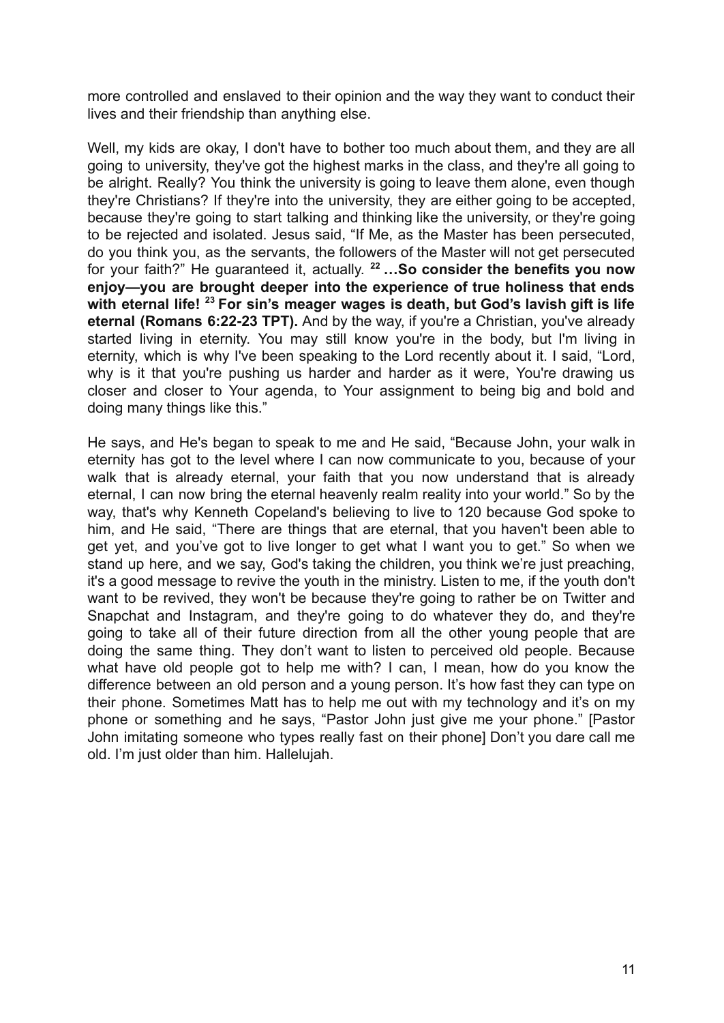more controlled and enslaved to their opinion and the way they want to conduct their lives and their friendship than anything else.

Well, my kids are okay. I don't have to bother too much about them, and they are all going to university, they've got the highest marks in the class, and they're all going to be alright. Really? You think the university is going to leave them alone, even though they're Christians? If they're into the university, they are either going to be accepted, because they're going to start talking and thinking like the university, or they're going to be rejected and isolated. Jesus said, "If Me, as the Master has been persecuted, do you think you, as the servants, the followers of the Master will not get persecuted for your faith?" He guaranteed it, actually. **<sup>22</sup> …So consider the benefits you now enjoy—you are brought deeper into the experience of true holiness that ends with eternal life! <sup>23</sup> For sin's meager wages is death, but God's lavish gift is life eternal (Romans 6:22-23 TPT).** And by the way, if you're a Christian, you've already started living in eternity. You may still know you're in the body, but I'm living in eternity, which is why I've been speaking to the Lord recently about it. I said, "Lord, why is it that you're pushing us harder and harder as it were. You're drawing us closer and closer to Your agenda, to Your assignment to being big and bold and doing many things like this."

He says, and He's began to speak to me and He said, "Because John, your walk in eternity has got to the level where I can now communicate to you, because of your walk that is already eternal, your faith that you now understand that is already eternal, I can now bring the eternal heavenly realm reality into your world." So by the way, that's why Kenneth Copeland's believing to live to 120 because God spoke to him, and He said, "There are things that are eternal, that you haven't been able to get yet, and you've got to live longer to get what I want you to get." So when we stand up here, and we say, God's taking the children, you think we're just preaching, it's a good message to revive the youth in the ministry. Listen to me, if the youth don't want to be revived, they won't be because they're going to rather be on Twitter and Snapchat and Instagram, and they're going to do whatever they do, and they're going to take all of their future direction from all the other young people that are doing the same thing. They don't want to listen to perceived old people. Because what have old people got to help me with? I can, I mean, how do you know the difference between an old person and a young person. It's how fast they can type on their phone. Sometimes Matt has to help me out with my technology and it's on my phone or something and he says, "Pastor John just give me your phone." [Pastor John imitating someone who types really fast on their phone] Don't you dare call me old. I'm just older than him. Hallelujah.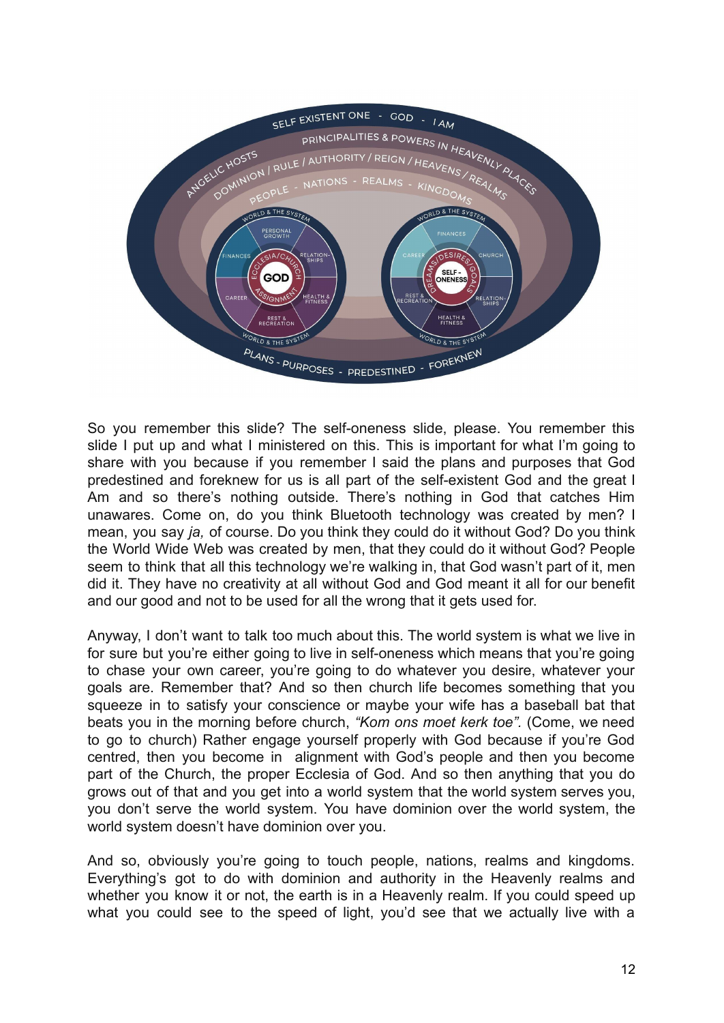

So you remember this slide? The self-oneness slide, please. You remember this slide I put up and what I ministered on this. This is important for what I'm going to share with you because if you remember I said the plans and purposes that God predestined and foreknew for us is all part of the self-existent God and the great I Am and so there's nothing outside. There's nothing in God that catches Him unawares. Come on, do you think Bluetooth technology was created by men? I mean, you say *ja,* of course. Do you think they could do it without God? Do you think the World Wide Web was created by men, that they could do it without God? People seem to think that all this technology we're walking in, that God wasn't part of it, men did it. They have no creativity at all without God and God meant it all for our benefit and our good and not to be used for all the wrong that it gets used for.

Anyway, I don't want to talk too much about this. The world system is what we live in for sure but you're either going to live in self-oneness which means that you're going to chase your own career, you're going to do whatever you desire, whatever your goals are. Remember that? And so then church life becomes something that you squeeze in to satisfy your conscience or maybe your wife has a baseball bat that beats you in the morning before church, *"Kom ons moet kerk toe".* (Come, we need to go to church) Rather engage yourself properly with God because if you're God centred, then you become in alignment with God's people and then you become part of the Church, the proper Ecclesia of God. And so then anything that you do grows out of that and you get into a world system that the world system serves you, you don't serve the world system. You have dominion over the world system, the world system doesn't have dominion over you.

And so, obviously you're going to touch people, nations, realms and kingdoms. Everything's got to do with dominion and authority in the Heavenly realms and whether you know it or not, the earth is in a Heavenly realm. If you could speed up what you could see to the speed of light, you'd see that we actually live with a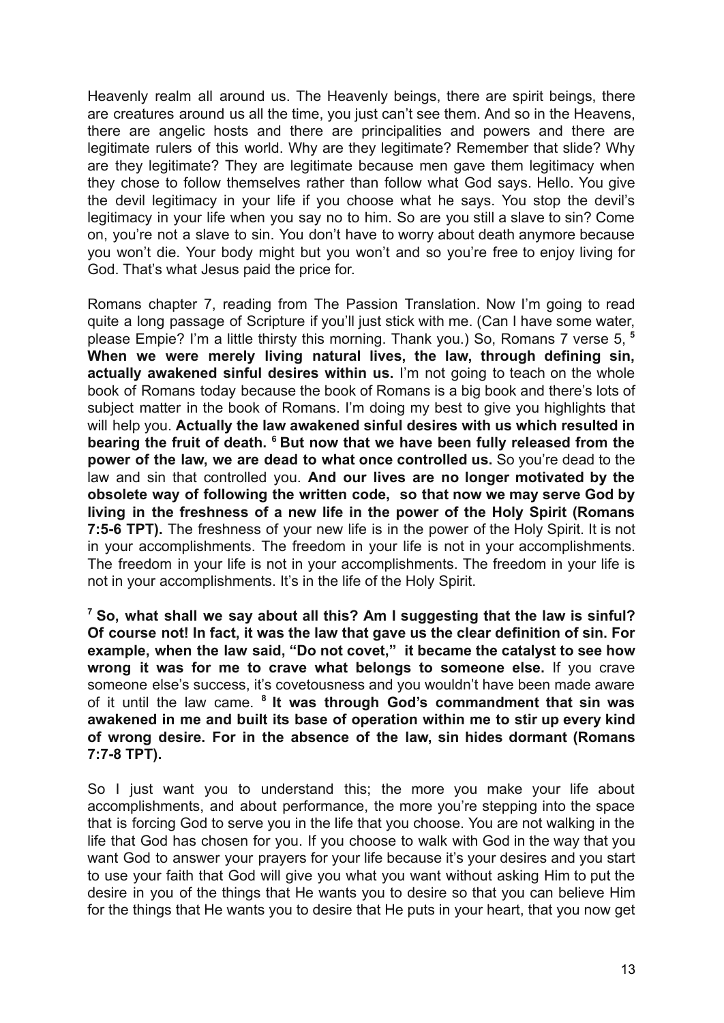Heavenly realm all around us. The Heavenly beings, there are spirit beings, there are creatures around us all the time, you just can't see them. And so in the Heavens, there are angelic hosts and there are principalities and powers and there are legitimate rulers of this world. Why are they legitimate? Remember that slide? Why are they legitimate? They are legitimate because men gave them legitimacy when they chose to follow themselves rather than follow what God says. Hello. You give the devil legitimacy in your life if you choose what he says. You stop the devil's legitimacy in your life when you say no to him. So are you still a slave to sin? Come on, you're not a slave to sin. You don't have to worry about death anymore because you won't die. Your body might but you won't and so you're free to enjoy living for God. That's what Jesus paid the price for.

Romans chapter 7, reading from The Passion Translation. Now I'm going to read quite a long passage of Scripture if you'll just stick with me. (Can I have some water, please Empie? I'm a little thirsty this morning. Thank you.) So, Romans 7 verse 5, **<sup>5</sup> When we were merely living natural lives, the law, through defining sin, actually awakened sinful desires within us.** I'm not going to teach on the whole book of Romans today because the book of Romans is a big book and there's lots of subject matter in the book of Romans. I'm doing my best to give you highlights that will help you. **Actually the law awakened sinful desires with us which resulted in bearing the fruit of death. <sup>6</sup> But now that we have been fully released from the power of the law, we are dead to what once controlled us.** So you're dead to the law and sin that controlled you. **And our lives are no longer motivated by the obsolete way of following the written code, so that now we may serve God by living in the freshness of a new life in the power of the Holy Spirit (Romans 7:5-6 TPT).** The freshness of your new life is in the power of the Holy Spirit. It is not in your accomplishments. The freedom in your life is not in your accomplishments. The freedom in your life is not in your accomplishments. The freedom in your life is not in your accomplishments. It's in the life of the Holy Spirit.

**<sup>7</sup> So, what shall we say about all this? Am I suggesting that the law is sinful? Of course not! In fact, it was the law that gave us the clear definition of sin. For example, when the law said, "Do not covet," it became the catalyst to see how wrong it was for me to crave what belongs to someone else.** If you crave someone else's success, it's covetousness and you wouldn't have been made aware of it until the law came. **<sup>8</sup> It was through God's commandment that sin was awakened in me and built its base of operation within me to stir up every kind of wrong desire. For in the absence of the law, sin hides dormant (Romans 7:7-8 TPT).**

So I just want you to understand this; the more you make your life about accomplishments, and about performance, the more you're stepping into the space that is forcing God to serve you in the life that you choose. You are not walking in the life that God has chosen for you. If you choose to walk with God in the way that you want God to answer your prayers for your life because it's your desires and you start to use your faith that God will give you what you want without asking Him to put the desire in you of the things that He wants you to desire so that you can believe Him for the things that He wants you to desire that He puts in your heart, that you now get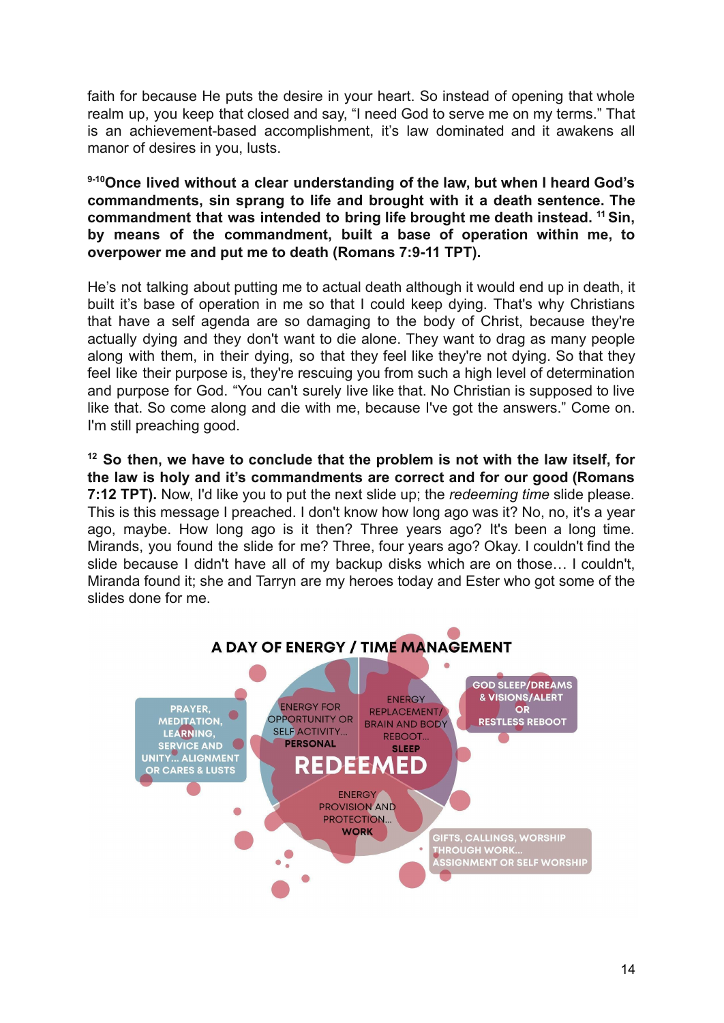faith for because He puts the desire in your heart. So instead of opening that whole realm up, you keep that closed and say, "I need God to serve me on my terms." That is an achievement-based accomplishment, it's law dominated and it awakens all manor of desires in you, lusts.

**9-10Once lived without a clear understanding of the law, but when I heard God's commandments, sin sprang to life and brought with it a death sentence. The commandment that was intended to bring life brought me death instead. <sup>11</sup>Sin, by means of the commandment, built a base of operation within me, to overpower me and put me to death (Romans 7:9-11 TPT).**

He's not talking about putting me to actual death although it would end up in death, it built it's base of operation in me so that I could keep dying. That's why Christians that have a self agenda are so damaging to the body of Christ, because they're actually dying and they don't want to die alone. They want to drag as many people along with them, in their dying, so that they feel like they're not dying. So that they feel like their purpose is, they're rescuing you from such a high level of determination and purpose for God. "You can't surely live like that. No Christian is supposed to live like that. So come along and die with me, because I've got the answers." Come on. I'm still preaching good.

**<sup>12</sup> So then, we have to conclude that the problem is not with the law itself, for the law is holy and it's commandments are correct and for our good (Romans 7:12 TPT).** Now, I'd like you to put the next slide up; the *redeeming time* slide please. This is this message I preached. I don't know how long ago was it? No, no, it's a year ago, maybe. How long ago is it then? Three years ago? It's been a long time. Mirands, you found the slide for me? Three, four years ago? Okay. I couldn't find the slide because I didn't have all of my backup disks which are on those… I couldn't, Miranda found it; she and Tarryn are my heroes today and Ester who got some of the slides done for me.

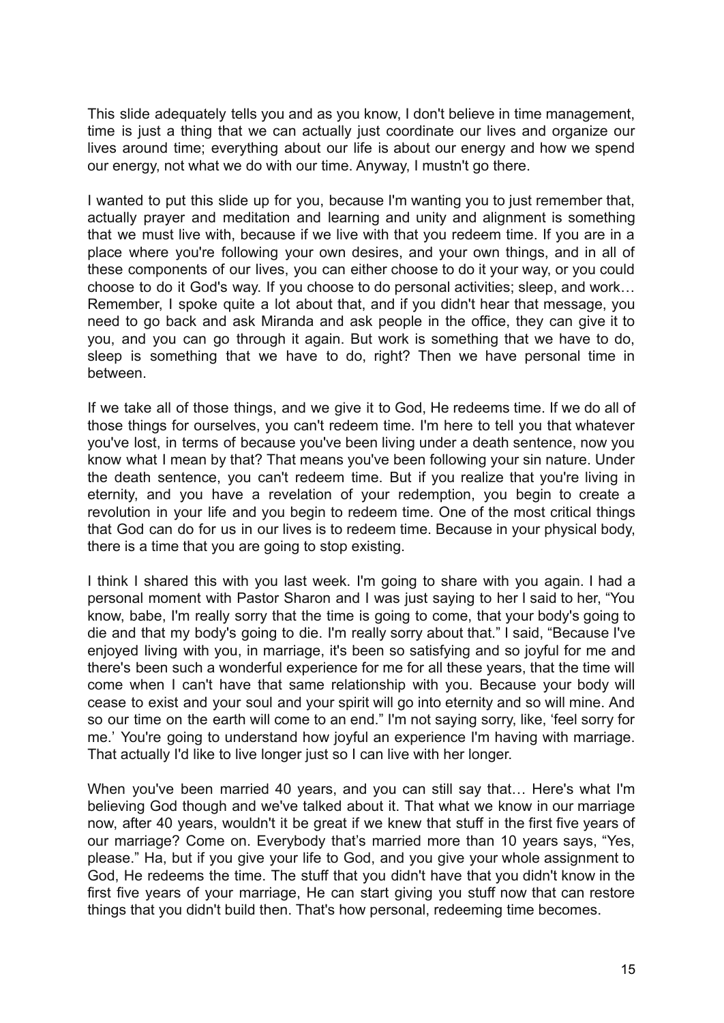This slide adequately tells you and as you know, I don't believe in time management, time is just a thing that we can actually just coordinate our lives and organize our lives around time; everything about our life is about our energy and how we spend our energy, not what we do with our time. Anyway, I mustn't go there.

I wanted to put this slide up for you, because I'm wanting you to just remember that, actually prayer and meditation and learning and unity and alignment is something that we must live with, because if we live with that you redeem time. If you are in a place where you're following your own desires, and your own things, and in all of these components of our lives, you can either choose to do it your way, or you could choose to do it God's way. If you choose to do personal activities; sleep, and work… Remember, I spoke quite a lot about that, and if you didn't hear that message, you need to go back and ask Miranda and ask people in the office, they can give it to you, and you can go through it again. But work is something that we have to do, sleep is something that we have to do, right? Then we have personal time in between.

If we take all of those things, and we give it to God, He redeems time. If we do all of those things for ourselves, you can't redeem time. I'm here to tell you that whatever you've lost, in terms of because you've been living under a death sentence, now you know what I mean by that? That means you've been following your sin nature. Under the death sentence, you can't redeem time. But if you realize that you're living in eternity, and you have a revelation of your redemption, you begin to create a revolution in your life and you begin to redeem time. One of the most critical things that God can do for us in our lives is to redeem time. Because in your physical body, there is a time that you are going to stop existing.

I think I shared this with you last week. I'm going to share with you again. I had a personal moment with Pastor Sharon and I was just saying to her I said to her, "You know, babe, I'm really sorry that the time is going to come, that your body's going to die and that my body's going to die. I'm really sorry about that." I said, "Because I've enjoyed living with you, in marriage, it's been so satisfying and so joyful for me and there's been such a wonderful experience for me for all these years, that the time will come when I can't have that same relationship with you. Because your body will cease to exist and your soul and your spirit will go into eternity and so will mine. And so our time on the earth will come to an end." I'm not saying sorry, like, 'feel sorry for me.' You're going to understand how joyful an experience I'm having with marriage. That actually I'd like to live longer just so I can live with her longer.

When you've been married 40 years, and you can still say that… Here's what I'm believing God though and we've talked about it. That what we know in our marriage now, after 40 years, wouldn't it be great if we knew that stuff in the first five years of our marriage? Come on. Everybody that's married more than 10 years says, "Yes, please." Ha, but if you give your life to God, and you give your whole assignment to God, He redeems the time. The stuff that you didn't have that you didn't know in the first five years of your marriage, He can start giving you stuff now that can restore things that you didn't build then. That's how personal, redeeming time becomes.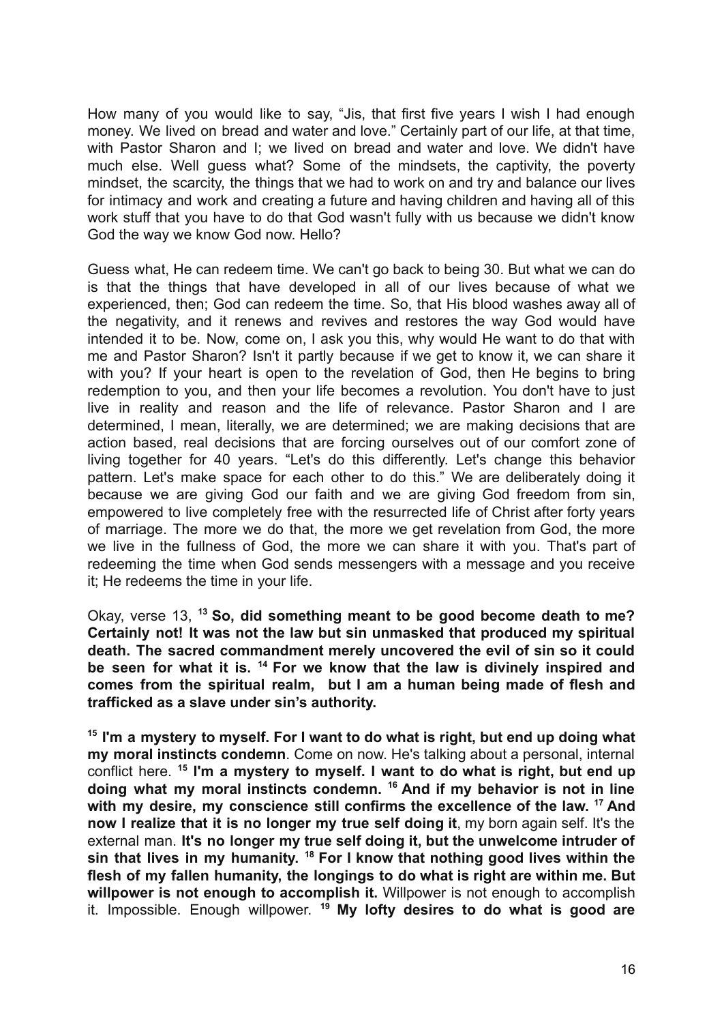How many of you would like to say, "Jis, that first five years I wish I had enough money. We lived on bread and water and love." Certainly part of our life, at that time, with Pastor Sharon and I; we lived on bread and water and love. We didn't have much else. Well guess what? Some of the mindsets, the captivity, the poverty mindset, the scarcity, the things that we had to work on and try and balance our lives for intimacy and work and creating a future and having children and having all of this work stuff that you have to do that God wasn't fully with us because we didn't know God the way we know God now. Hello?

Guess what, He can redeem time. We can't go back to being 30. But what we can do is that the things that have developed in all of our lives because of what we experienced, then; God can redeem the time. So, that His blood washes away all of the negativity, and it renews and revives and restores the way God would have intended it to be. Now, come on, I ask you this, why would He want to do that with me and Pastor Sharon? Isn't it partly because if we get to know it, we can share it with you? If your heart is open to the revelation of God, then He begins to bring redemption to you, and then your life becomes a revolution. You don't have to just live in reality and reason and the life of relevance. Pastor Sharon and I are determined, I mean, literally, we are determined; we are making decisions that are action based, real decisions that are forcing ourselves out of our comfort zone of living together for 40 years. "Let's do this differently. Let's change this behavior pattern. Let's make space for each other to do this." We are deliberately doing it because we are giving God our faith and we are giving God freedom from sin, empowered to live completely free with the resurrected life of Christ after forty years of marriage. The more we do that, the more we get revelation from God, the more we live in the fullness of God, the more we can share it with you. That's part of redeeming the time when God sends messengers with a message and you receive it; He redeems the time in your life.

Okay, verse 13, **<sup>13</sup> So, did something meant to be good become death to me? Certainly not! It was not the law but sin unmasked that produced my spiritual death. The sacred commandment merely uncovered the evil of sin so it could be seen for what it is. <sup>14</sup> For we know that the law is divinely inspired and comes from the spiritual realm, but I am a human being made of flesh and trafficked as a slave under sin's authority.**

**15 I'm a mystery to myself. For I want to do what is right, but end up doing what my moral instincts condemn**. Come on now. He's talking about a personal, internal conflict here. **<sup>15</sup> I'm a mystery to myself. I want to do what is right, but end up doing what my moral instincts condemn. <sup>16</sup> And if my behavior is not in line with my desire, my conscience still confirms the excellence of the law. <sup>17</sup> And now I realize that it is no longer my true self doing it**, my born again self. It's the external man. **It's no longer my true self doing it, but the unwelcome intruder of sin that lives in my humanity. <sup>18</sup> For I know that nothing good lives within the flesh of my fallen humanity, the longings to do what is right are within me. But willpower is not enough to accomplish it.** Willpower is not enough to accomplish it. Impossible. Enough willpower. **<sup>19</sup> My lofty desires to do what is good are**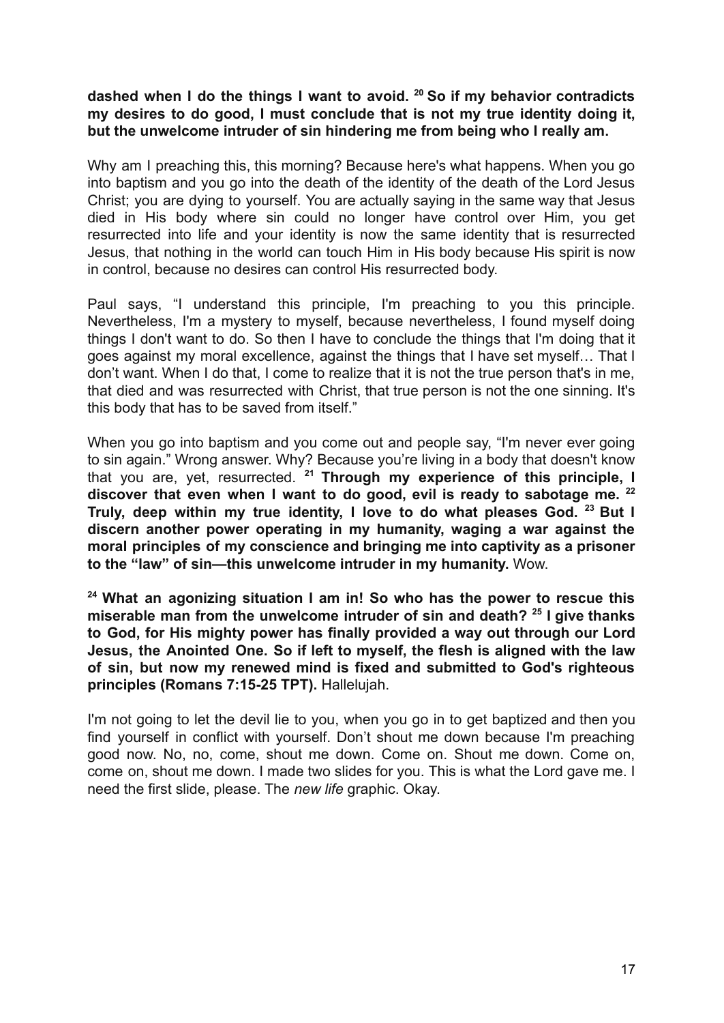## **dashed when I do the things I want to avoid. <sup>20</sup> So if my behavior contradicts my desires to do good, I must conclude that is not my true identity doing it, but the unwelcome intruder of sin hindering me from being who I really am.**

Why am I preaching this, this morning? Because here's what happens. When you go into baptism and you go into the death of the identity of the death of the Lord Jesus Christ; you are dying to yourself. You are actually saying in the same way that Jesus died in His body where sin could no longer have control over Him, you get resurrected into life and your identity is now the same identity that is resurrected Jesus, that nothing in the world can touch Him in His body because His spirit is now in control, because no desires can control His resurrected body.

Paul says, "I understand this principle, I'm preaching to you this principle. Nevertheless, I'm a mystery to myself, because nevertheless, I found myself doing things I don't want to do. So then I have to conclude the things that I'm doing that it goes against my moral excellence, against the things that I have set myself… That I don't want. When I do that, I come to realize that it is not the true person that's in me, that died and was resurrected with Christ, that true person is not the one sinning. It's this body that has to be saved from itself."

When you go into baptism and you come out and people say, "I'm never ever going to sin again." Wrong answer. Why? Because you're living in a body that doesn't know that you are, yet, resurrected. **<sup>21</sup> Through my experience of this principle, I discover that even when I want to do good, evil is ready to sabotage me. <sup>22</sup> Truly, deep within my true identity, I love to do what pleases God. <sup>23</sup> But I discern another power operating in my humanity, waging a war against the moral principles of my conscience and bringing me into captivity as a prisoner to the "law" of sin—this unwelcome intruder in my humanity.** Wow.

**<sup>24</sup> What an agonizing situation I am in! So who has the power to rescue this miserable man from the unwelcome intruder of sin and death? <sup>25</sup> I give thanks to God, for His mighty power has finally provided a way out through our Lord Jesus, the Anointed One. So if left to myself, the flesh is aligned with the law of sin, but now my renewed mind is fixed and submitted to God's righteous principles (Romans 7:15-25 TPT).** Hallelujah.

I'm not going to let the devil lie to you, when you go in to get baptized and then you find yourself in conflict with yourself. Don't shout me down because I'm preaching good now. No, no, come, shout me down. Come on. Shout me down. Come on, come on, shout me down. I made two slides for you. This is what the Lord gave me. I need the first slide, please. The *new life* graphic. Okay.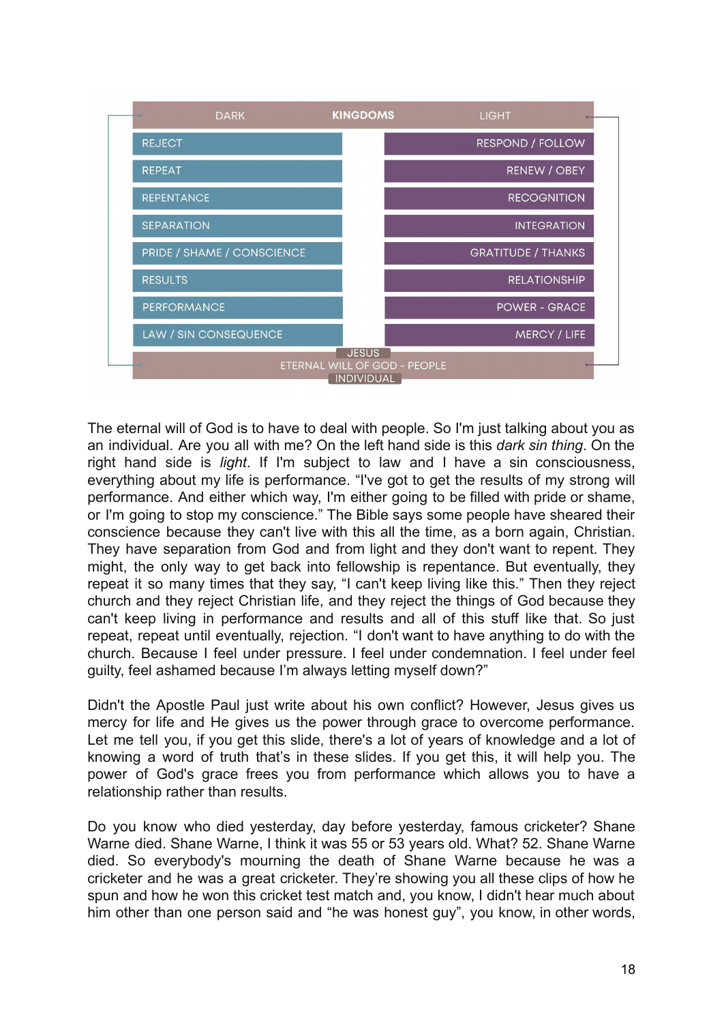

The eternal will of God is to have to deal with people. So I'm just talking about you as an individual. Are you all with me? On the left hand side is this *dark sin thing*. On the right hand side is *light*. If I'm subject to law and I have a sin consciousness, everything about my life is performance. "I've got to get the results of my strong will performance. And either which way, I'm either going to be filled with pride or shame, or I'm going to stop my conscience." The Bible says some people have sheared their conscience because they can't live with this all the time, as a born again, Christian. They have separation from God and from light and they don't want to repent. They might, the only way to get back into fellowship is repentance. But eventually, they repeat it so many times that they say, "I can't keep living like this." Then they reject church and they reject Christian life, and they reject the things of God because they can't keep living in performance and results and all of this stuff like that. So just repeat, repeat until eventually, rejection. "I don't want to have anything to do with the church. Because I feel under pressure. I feel under condemnation. I feel under feel guilty, feel ashamed because I'm always letting myself down?"

Didn't the Apostle Paul just write about his own conflict? However, Jesus gives us mercy for life and He gives us the power through grace to overcome performance. Let me tell you, if you get this slide, there's a lot of years of knowledge and a lot of knowing a word of truth that's in these slides. If you get this, it will help you. The power of God's grace frees you from performance which allows you to have a relationship rather than results.

Do you know who died yesterday, day before yesterday, famous cricketer? Shane Warne died. Shane Warne, I think it was 55 or 53 years old. What? 52. Shane Warne died. So everybody's mourning the death of Shane Warne because he was a cricketer and he was a great cricketer. They're showing you all these clips of how he spun and how he won this cricket test match and, you know, I didn't hear much about him other than one person said and "he was honest guy", you know, in other words,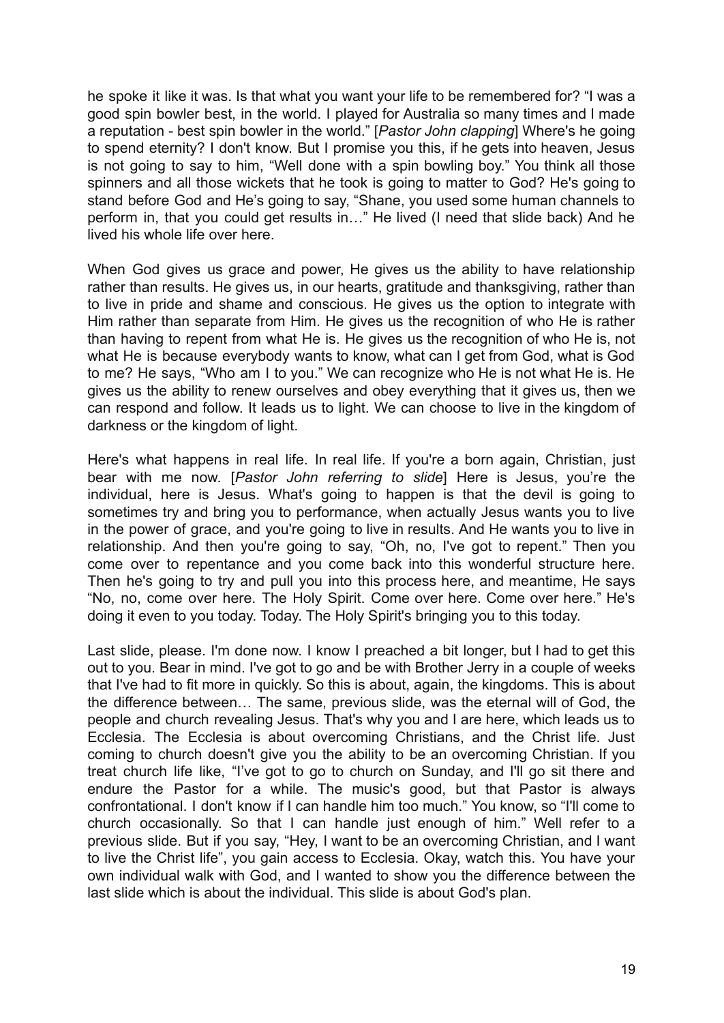he spoke it like it was. Is that what you want your life to be remembered for? "I was a good spin bowler best, in the world. I played for Australia so many times and I made a reputation - best spin bowler in the world." [*Pastor John clapping*] Where's he going to spend eternity? I don't know. But I promise you this, if he gets into heaven, Jesus is not going to say to him, "Well done with a spin bowling boy." You think all those spinners and all those wickets that he took is going to matter to God? He's going to stand before God and He's going to say, "Shane, you used some human channels to perform in, that you could get results in…" He lived (I need that slide back) And he lived his whole life over here.

When God gives us grace and power, He gives us the ability to have relationship rather than results. He gives us, in our hearts, gratitude and thanksgiving, rather than to live in pride and shame and conscious. He gives us the option to integrate with Him rather than separate from Him. He gives us the recognition of who He is rather than having to repent from what He is. He gives us the recognition of who He is, not what He is because everybody wants to know, what can I get from God, what is God to me? He says, "Who am I to you." We can recognize who He is not what He is. He gives us the ability to renew ourselves and obey everything that it gives us, then we can respond and follow. It leads us to light. We can choose to live in the kingdom of darkness or the kingdom of light.

Here's what happens in real life. In real life. If you're a born again, Christian, just bear with me now. [*Pastor John referring to slide*] Here is Jesus, you're the individual, here is Jesus. What's going to happen is that the devil is going to sometimes try and bring you to performance, when actually Jesus wants you to live in the power of grace, and you're going to live in results. And He wants you to live in relationship. And then you're going to say, "Oh, no, I've got to repent." Then you come over to repentance and you come back into this wonderful structure here. Then he's going to try and pull you into this process here, and meantime, He says "No, no, come over here. The Holy Spirit. Come over here. Come over here." He's doing it even to you today. Today. The Holy Spirit's bringing you to this today.

Last slide, please. I'm done now. I know I preached a bit longer, but I had to get this out to you. Bear in mind. I've got to go and be with Brother Jerry in a couple of weeks that I've had to fit more in quickly. So this is about, again, the kingdoms. This is about the difference between… The same, previous slide, was the eternal will of God, the people and church revealing Jesus. That's why you and I are here, which leads us to Ecclesia. The Ecclesia is about overcoming Christians, and the Christ life. Just coming to church doesn't give you the ability to be an overcoming Christian. If you treat church life like, "I've got to go to church on Sunday, and I'll go sit there and endure the Pastor for a while. The music's good, but that Pastor is always confrontational. I don't know if I can handle him too much." You know, so "I'll come to church occasionally. So that I can handle just enough of him." Well refer to a previous slide. But if you say, "Hey, I want to be an overcoming Christian, and I want to live the Christ life", you gain access to Ecclesia. Okay, watch this. You have your own individual walk with God, and I wanted to show you the difference between the last slide which is about the individual. This slide is about God's plan.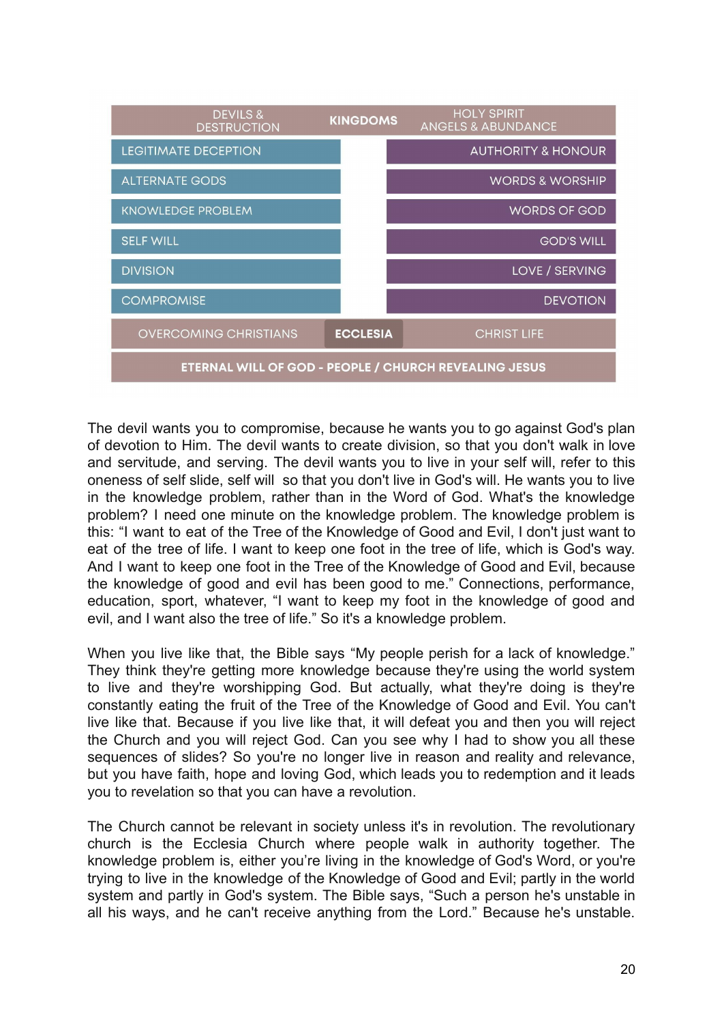

The devil wants you to compromise, because he wants you to go against God's plan of devotion to Him. The devil wants to create division, so that you don't walk in love and servitude, and serving. The devil wants you to live in your self will, refer to this oneness of self slide, self will so that you don't live in God's will. He wants you to live in the knowledge problem, rather than in the Word of God. What's the knowledge problem? I need one minute on the knowledge problem. The knowledge problem is this: "I want to eat of the Tree of the Knowledge of Good and Evil, I don't just want to eat of the tree of life. I want to keep one foot in the tree of life, which is God's way. And I want to keep one foot in the Tree of the Knowledge of Good and Evil, because the knowledge of good and evil has been good to me." Connections, performance, education, sport, whatever, "I want to keep my foot in the knowledge of good and evil, and I want also the tree of life." So it's a knowledge problem.

When you live like that, the Bible says "My people perish for a lack of knowledge." They think they're getting more knowledge because they're using the world system to live and they're worshipping God. But actually, what they're doing is they're constantly eating the fruit of the Tree of the Knowledge of Good and Evil. You can't live like that. Because if you live like that, it will defeat you and then you will reject the Church and you will reject God. Can you see why I had to show you all these sequences of slides? So you're no longer live in reason and reality and relevance, but you have faith, hope and loving God, which leads you to redemption and it leads you to revelation so that you can have a revolution.

The Church cannot be relevant in society unless it's in revolution. The revolutionary church is the Ecclesia Church where people walk in authority together. The knowledge problem is, either you're living in the knowledge of God's Word, or you're trying to live in the knowledge of the Knowledge of Good and Evil; partly in the world system and partly in God's system. The Bible says, "Such a person he's unstable in all his ways, and he can't receive anything from the Lord." Because he's unstable.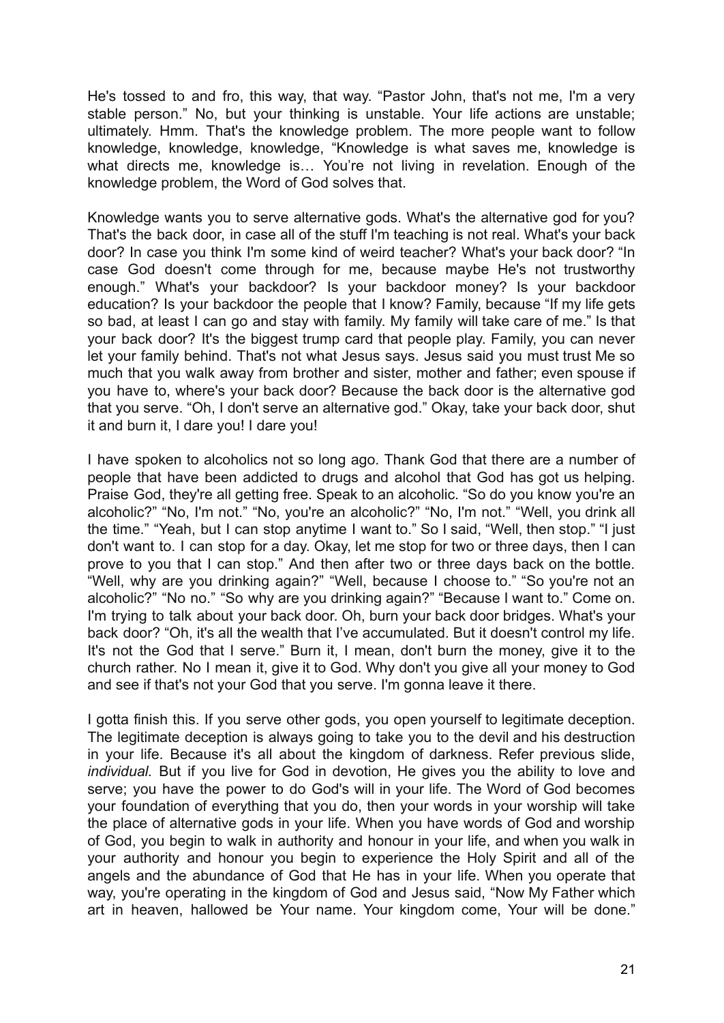He's tossed to and fro, this way, that way. "Pastor John, that's not me, I'm a very stable person." No, but your thinking is unstable. Your life actions are unstable; ultimately. Hmm. That's the knowledge problem. The more people want to follow knowledge, knowledge, knowledge, "Knowledge is what saves me, knowledge is what directs me, knowledge is… You're not living in revelation. Enough of the knowledge problem, the Word of God solves that.

Knowledge wants you to serve alternative gods. What's the alternative god for you? That's the back door, in case all of the stuff I'm teaching is not real. What's your back door? In case you think I'm some kind of weird teacher? What's your back door? "In case God doesn't come through for me, because maybe He's not trustworthy enough." What's your backdoor? Is your backdoor money? Is your backdoor education? Is your backdoor the people that I know? Family, because "If my life gets so bad, at least I can go and stay with family. My family will take care of me." Is that your back door? It's the biggest trump card that people play. Family, you can never let your family behind. That's not what Jesus says. Jesus said you must trust Me so much that you walk away from brother and sister, mother and father; even spouse if you have to, where's your back door? Because the back door is the alternative god that you serve. "Oh, I don't serve an alternative god." Okay, take your back door, shut it and burn it, I dare you! I dare you!

I have spoken to alcoholics not so long ago. Thank God that there are a number of people that have been addicted to drugs and alcohol that God has got us helping. Praise God, they're all getting free. Speak to an alcoholic. "So do you know you're an alcoholic?" "No, I'm not." "No, you're an alcoholic?" "No, I'm not." "Well, you drink all the time." "Yeah, but I can stop anytime I want to." So I said, "Well, then stop." "I just don't want to. I can stop for a day. Okay, let me stop for two or three days, then I can prove to you that I can stop." And then after two or three days back on the bottle. "Well, why are you drinking again?" "Well, because I choose to." "So you're not an alcoholic?" "No no." "So why are you drinking again?" "Because I want to." Come on. I'm trying to talk about your back door. Oh, burn your back door bridges. What's your back door? "Oh, it's all the wealth that I've accumulated. But it doesn't control my life. It's not the God that I serve." Burn it, I mean, don't burn the money, give it to the church rather. No I mean it, give it to God. Why don't you give all your money to God and see if that's not your God that you serve. I'm gonna leave it there.

I gotta finish this. If you serve other gods, you open yourself to legitimate deception. The legitimate deception is always going to take you to the devil and his destruction in your life. Because it's all about the kingdom of darkness. Refer previous slide, *individual.* But if you live for God in devotion, He gives you the ability to love and serve; you have the power to do God's will in your life. The Word of God becomes your foundation of everything that you do, then your words in your worship will take the place of alternative gods in your life. When you have words of God and worship of God, you begin to walk in authority and honour in your life, and when you walk in your authority and honour you begin to experience the Holy Spirit and all of the angels and the abundance of God that He has in your life. When you operate that way, you're operating in the kingdom of God and Jesus said, "Now My Father which art in heaven, hallowed be Your name. Your kingdom come, Your will be done."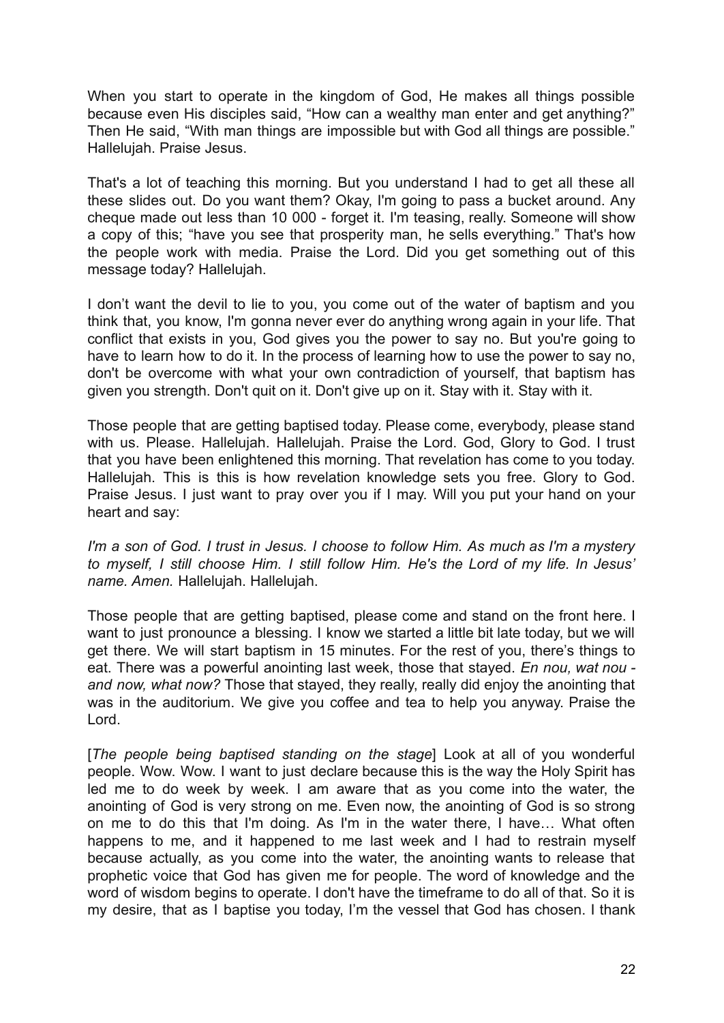When you start to operate in the kingdom of God, He makes all things possible because even His disciples said, "How can a wealthy man enter and get anything?" Then He said, "With man things are impossible but with God all things are possible." Hallelujah. Praise Jesus.

That's a lot of teaching this morning. But you understand I had to get all these all these slides out. Do you want them? Okay, I'm going to pass a bucket around. Any cheque made out less than 10 000 - forget it. I'm teasing, really. Someone will show a copy of this; "have you see that prosperity man, he sells everything." That's how the people work with media. Praise the Lord. Did you get something out of this message today? Hallelujah.

I don't want the devil to lie to you, you come out of the water of baptism and you think that, you know, I'm gonna never ever do anything wrong again in your life. That conflict that exists in you, God gives you the power to say no. But you're going to have to learn how to do it. In the process of learning how to use the power to say no, don't be overcome with what your own contradiction of yourself, that baptism has given you strength. Don't quit on it. Don't give up on it. Stay with it. Stay with it.

Those people that are getting baptised today. Please come, everybody, please stand with us. Please. Hallelujah. Hallelujah. Praise the Lord. God, Glory to God. I trust that you have been enlightened this morning. That revelation has come to you today. Hallelujah. This is this is how revelation knowledge sets you free. Glory to God. Praise Jesus. I just want to pray over you if I may. Will you put your hand on your heart and say:

*I'm a son of God. I trust in Jesus. I choose to follow Him. As much as I'm a mystery to myself, I still choose Him. I still follow Him. He's the Lord of my life. In Jesus' name. Amen.* Hallelujah. Hallelujah.

Those people that are getting baptised, please come and stand on the front here. I want to just pronounce a blessing. I know we started a little bit late today, but we will get there. We will start baptism in 15 minutes. For the rest of you, there's things to eat. There was a powerful anointing last week, those that stayed. *En nou, wat nou and now, what now?* Those that stayed, they really, really did enjoy the anointing that was in the auditorium. We give you coffee and tea to help you anyway. Praise the Lord.

[*The people being baptised standing on the stage*] Look at all of you wonderful people. Wow. Wow. I want to just declare because this is the way the Holy Spirit has led me to do week by week. I am aware that as you come into the water, the anointing of God is very strong on me. Even now, the anointing of God is so strong on me to do this that I'm doing. As I'm in the water there, I have… What often happens to me, and it happened to me last week and I had to restrain myself because actually, as you come into the water, the anointing wants to release that prophetic voice that God has given me for people. The word of knowledge and the word of wisdom begins to operate. I don't have the timeframe to do all of that. So it is my desire, that as I baptise you today, I'm the vessel that God has chosen. I thank